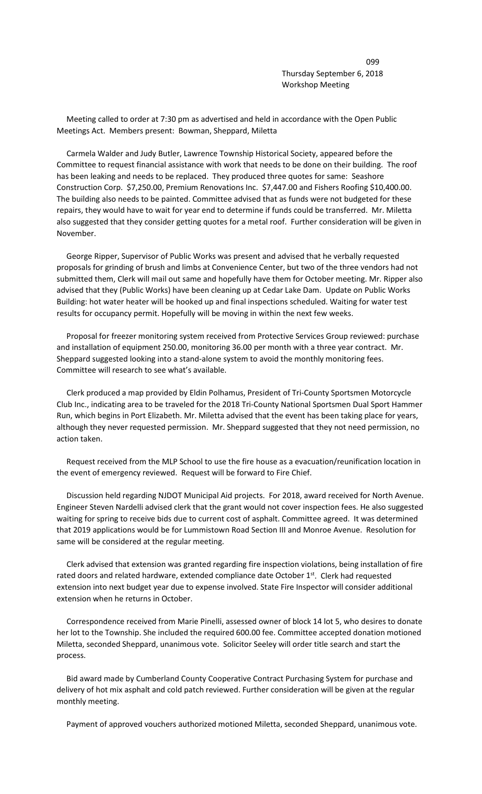de la construcción de la construcción de la construcción de la construcción de la construcción de la construcc Thursday September 6, 2018 Workshop Meeting

 Meeting called to order at 7:30 pm as advertised and held in accordance with the Open Public Meetings Act. Members present: Bowman, Sheppard, Miletta

 Carmela Walder and Judy Butler, Lawrence Township Historical Society, appeared before the Committee to request financial assistance with work that needs to be done on their building. The roof has been leaking and needs to be replaced. They produced three quotes for same: Seashore Construction Corp. \$7,250.00, Premium Renovations Inc. \$7,447.00 and Fishers Roofing \$10,400.00. The building also needs to be painted. Committee advised that as funds were not budgeted for these repairs, they would have to wait for year end to determine if funds could be transferred. Mr. Miletta also suggested that they consider getting quotes for a metal roof. Further consideration will be given in November.

 George Ripper, Supervisor of Public Works was present and advised that he verbally requested proposals for grinding of brush and limbs at Convenience Center, but two of the three vendors had not submitted them, Clerk will mail out same and hopefully have them for October meeting. Mr. Ripper also advised that they (Public Works) have been cleaning up at Cedar Lake Dam. Update on Public Works Building: hot water heater will be hooked up and final inspections scheduled. Waiting for water test results for occupancy permit. Hopefully will be moving in within the next few weeks.

 Proposal for freezer monitoring system received from Protective Services Group reviewed: purchase and installation of equipment 250.00, monitoring 36.00 per month with a three year contract. Mr. Sheppard suggested looking into a stand-alone system to avoid the monthly monitoring fees. Committee will research to see what's available.

 Clerk produced a map provided by Eldin Polhamus, President of Tri-County Sportsmen Motorcycle Club Inc., indicating area to be traveled for the 2018 Tri-County National Sportsmen Dual Sport Hammer Run, which begins in Port Elizabeth. Mr. Miletta advised that the event has been taking place for years, although they never requested permission. Mr. Sheppard suggested that they not need permission, no action taken.

 Request received from the MLP School to use the fire house as a evacuation/reunification location in the event of emergency reviewed. Request will be forward to Fire Chief.

 Discussion held regarding NJDOT Municipal Aid projects. For 2018, award received for North Avenue. Engineer Steven Nardelli advised clerk that the grant would not cover inspection fees. He also suggested waiting for spring to receive bids due to current cost of asphalt. Committee agreed. It was determined that 2019 applications would be for Lummistown Road Section III and Monroe Avenue. Resolution for same will be considered at the regular meeting.

 Clerk advised that extension was granted regarding fire inspection violations, being installation of fire rated doors and related hardware, extended compliance date October 1st. Clerk had requested extension into next budget year due to expense involved. State Fire Inspector will consider additional extension when he returns in October.

 Correspondence received from Marie Pinelli, assessed owner of block 14 lot 5, who desires to donate her lot to the Township. She included the required 600.00 fee. Committee accepted donation motioned Miletta, seconded Sheppard, unanimous vote. Solicitor Seeley will order title search and start the process.

 Bid award made by Cumberland County Cooperative Contract Purchasing System for purchase and delivery of hot mix asphalt and cold patch reviewed. Further consideration will be given at the regular monthly meeting.

Payment of approved vouchers authorized motioned Miletta, seconded Sheppard, unanimous vote.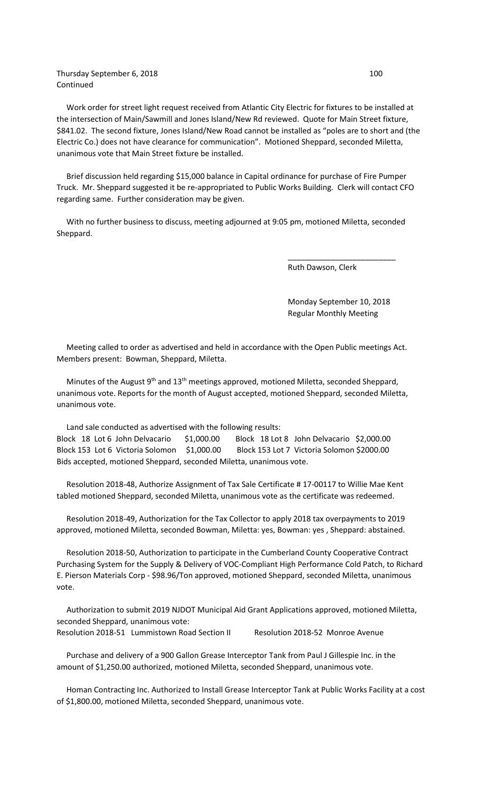## Thursday September 6, 2018 100 Continued

 Work order for street light request received from Atlantic City Electric for fixtures to be installed at the intersection of Main/Sawmill and Jones Island/New Rd reviewed. Quote for Main Street fixture, \$841.02. The second fixture, Jones Island/New Road cannot be installed as "poles are to short and (the Electric Co.) does not have clearance for communication". Motioned Sheppard, seconded Miletta, unanimous vote that Main Street fixture be installed.

 Brief discussion held regarding \$15,000 balance in Capital ordinance for purchase of Fire Pumper Truck. Mr. Sheppard suggested it be re-appropriated to Public Works Building. Clerk will contact CFO regarding same. Further consideration may be given.

 With no further business to discuss, meeting adjourned at 9:05 pm, motioned Miletta, seconded Sheppard.

 $\overline{\phantom{a}}$  , and the contract of the contract of the contract of the contract of the contract of the contract of the contract of the contract of the contract of the contract of the contract of the contract of the contrac

Ruth Dawson, Clerk

 Monday September 10, 2018 Regular Monthly Meeting

 Meeting called to order as advertised and held in accordance with the Open Public meetings Act. Members present: Bowman, Sheppard, Miletta.

Minutes of the August 9<sup>th</sup> and 13<sup>th</sup> meetings approved, motioned Miletta, seconded Sheppard, unanimous vote. Reports for the month of August accepted, motioned Sheppard, seconded Miletta, unanimous vote.

 Land sale conducted as advertised with the following results: Block 18 Lot 6 John Delvacario \$1,000.00 Block 18 Lot 8 John Delvacario \$2,000.00 Block 153 Lot 6 Victoria Solomon \$1,000.00 Block 153 Lot 7 Victoria Solomon \$2000.00 Bids accepted, motioned Sheppard, seconded Miletta, unanimous vote.

 Resolution 2018-48, Authorize Assignment of Tax Sale Certificate # 17-00117 to Willie Mae Kent tabled motioned Sheppard, seconded Miletta, unanimous vote as the certificate was redeemed.

 Resolution 2018-49, Authorization for the Tax Collector to apply 2018 tax overpayments to 2019 approved, motioned Miletta, seconded Bowman, Miletta: yes, Bowman: yes , Sheppard: abstained.

 Resolution 2018-50, Authorization to participate in the Cumberland County Cooperative Contract Purchasing System for the Supply & Delivery of VOC-Compliant High Performance Cold Patch, to Richard E. Pierson Materials Corp - \$98.96/Ton approved, motioned Sheppard, seconded Miletta, unanimous vote.

 Authorization to submit 2019 NJDOT Municipal Aid Grant Applications approved, motioned Miletta, seconded Sheppard, unanimous vote: Resolution 2018-51 Lummistown Road Section II Resolution 2018-52 Monroe Avenue

 Purchase and delivery of a 900 Gallon Grease Interceptor Tank from Paul J Gillespie Inc. in the amount of \$1,250.00 authorized, motioned Miletta, seconded Sheppard, unanimous vote.

 Homan Contracting Inc. Authorized to Install Grease Interceptor Tank at Public Works Facility at a cost of \$1,800.00, motioned Miletta, seconded Sheppard, unanimous vote.